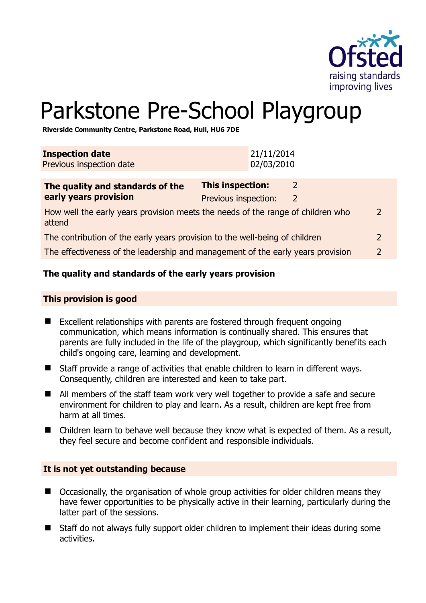

# Parkstone Pre-School Playgroup

**Riverside Community Centre, Parkstone Road, Hull, HU6 7DE** 

| How well the early years provision meets the needs of the range of children who<br>attend |  |                                                 | $\mathcal{P}$                                                                                                         |
|-------------------------------------------------------------------------------------------|--|-------------------------------------------------|-----------------------------------------------------------------------------------------------------------------------|
| The contribution of the early years provision to the well-being of children               |  |                                                 | $\overline{2}$                                                                                                        |
|                                                                                           |  |                                                 | $\mathcal{L}$                                                                                                         |
|                                                                                           |  | <b>This inspection:</b><br>Previous inspection: | 21/11/2014<br>02/03/2010<br>2<br>2<br>The effectiveness of the leadership and management of the early years provision |

# **The quality and standards of the early years provision**

#### **This provision is good**

- Excellent relationships with parents are fostered through frequent ongoing communication, which means information is continually shared. This ensures that parents are fully included in the life of the playgroup, which significantly benefits each child's ongoing care, learning and development.
- Staff provide a range of activities that enable children to learn in different ways. Consequently, children are interested and keen to take part.
- All members of the staff team work very well together to provide a safe and secure environment for children to play and learn. As a result, children are kept free from harm at all times.
- Children learn to behave well because they know what is expected of them. As a result, they feel secure and become confident and responsible individuals.

#### **It is not yet outstanding because**

- Occasionally, the organisation of whole group activities for older children means they have fewer opportunities to be physically active in their learning, particularly during the latter part of the sessions.
- Staff do not always fully support older children to implement their ideas during some activities.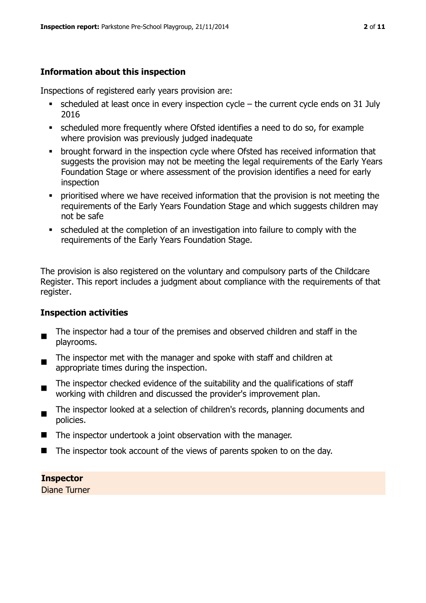# **Information about this inspection**

Inspections of registered early years provision are:

- $\bullet$  scheduled at least once in every inspection cycle the current cycle ends on 31 July 2016
- scheduled more frequently where Ofsted identifies a need to do so, for example where provision was previously judged inadequate
- **•** brought forward in the inspection cycle where Ofsted has received information that suggests the provision may not be meeting the legal requirements of the Early Years Foundation Stage or where assessment of the provision identifies a need for early inspection
- **•** prioritised where we have received information that the provision is not meeting the requirements of the Early Years Foundation Stage and which suggests children may not be safe
- scheduled at the completion of an investigation into failure to comply with the requirements of the Early Years Foundation Stage.

The provision is also registered on the voluntary and compulsory parts of the Childcare Register. This report includes a judgment about compliance with the requirements of that register.

# **Inspection activities**

- $\blacksquare$ The inspector had a tour of the premises and observed children and staff in the playrooms.
- The inspector met with the manager and spoke with staff and children at appropriate times during the inspection.
- The inspector checked evidence of the suitability and the qualifications of staff working with children and discussed the provider's improvement plan.
- $\blacksquare$ The inspector looked at a selection of children's records, planning documents and policies.
- The inspector undertook a joint observation with the manager.
- $\blacksquare$  The inspector took account of the views of parents spoken to on the day.

# **Inspector**

Diane Turner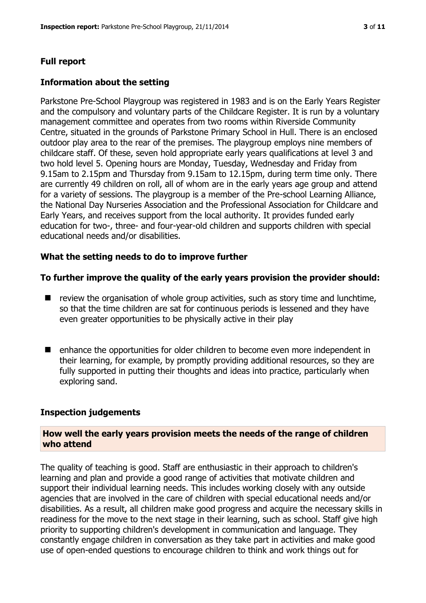# **Full report**

# **Information about the setting**

Parkstone Pre-School Playgroup was registered in 1983 and is on the Early Years Register and the compulsory and voluntary parts of the Childcare Register. It is run by a voluntary management committee and operates from two rooms within Riverside Community Centre, situated in the grounds of Parkstone Primary School in Hull. There is an enclosed outdoor play area to the rear of the premises. The playgroup employs nine members of childcare staff. Of these, seven hold appropriate early years qualifications at level 3 and two hold level 5. Opening hours are Monday, Tuesday, Wednesday and Friday from 9.15am to 2.15pm and Thursday from 9.15am to 12.15pm, during term time only. There are currently 49 children on roll, all of whom are in the early years age group and attend for a variety of sessions. The playgroup is a member of the Pre-school Learning Alliance, the National Day Nurseries Association and the Professional Association for Childcare and Early Years, and receives support from the local authority. It provides funded early education for two-, three- and four-year-old children and supports children with special educational needs and/or disabilities.

# **What the setting needs to do to improve further**

#### **To further improve the quality of the early years provision the provider should:**

- $\blacksquare$  review the organisation of whole group activities, such as story time and lunchtime, so that the time children are sat for continuous periods is lessened and they have even greater opportunities to be physically active in their play
- enhance the opportunities for older children to become even more independent in their learning, for example, by promptly providing additional resources, so they are fully supported in putting their thoughts and ideas into practice, particularly when exploring sand.

#### **Inspection judgements**

#### **How well the early years provision meets the needs of the range of children who attend**

The quality of teaching is good. Staff are enthusiastic in their approach to children's learning and plan and provide a good range of activities that motivate children and support their individual learning needs. This includes working closely with any outside agencies that are involved in the care of children with special educational needs and/or disabilities. As a result, all children make good progress and acquire the necessary skills in readiness for the move to the next stage in their learning, such as school. Staff give high priority to supporting children's development in communication and language. They constantly engage children in conversation as they take part in activities and make good use of open-ended questions to encourage children to think and work things out for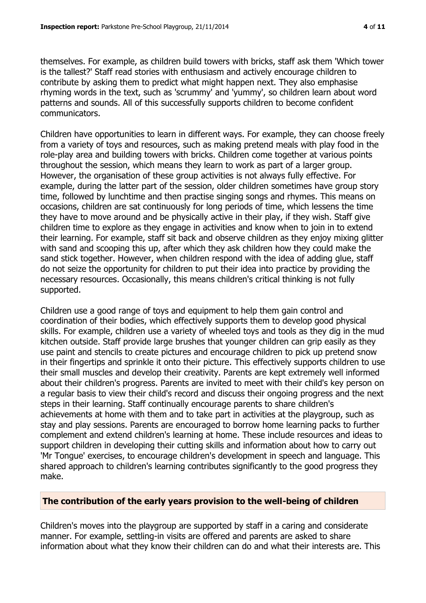themselves. For example, as children build towers with bricks, staff ask them 'Which tower is the tallest?' Staff read stories with enthusiasm and actively encourage children to contribute by asking them to predict what might happen next. They also emphasise rhyming words in the text, such as 'scrummy' and 'yummy', so children learn about word patterns and sounds. All of this successfully supports children to become confident communicators.

Children have opportunities to learn in different ways. For example, they can choose freely from a variety of toys and resources, such as making pretend meals with play food in the role-play area and building towers with bricks. Children come together at various points throughout the session, which means they learn to work as part of a larger group. However, the organisation of these group activities is not always fully effective. For example, during the latter part of the session, older children sometimes have group story time, followed by lunchtime and then practise singing songs and rhymes. This means on occasions, children are sat continuously for long periods of time, which lessens the time they have to move around and be physically active in their play, if they wish. Staff give children time to explore as they engage in activities and know when to join in to extend their learning. For example, staff sit back and observe children as they enjoy mixing glitter with sand and scooping this up, after which they ask children how they could make the sand stick together. However, when children respond with the idea of adding glue, staff do not seize the opportunity for children to put their idea into practice by providing the necessary resources. Occasionally, this means children's critical thinking is not fully supported.

Children use a good range of toys and equipment to help them gain control and coordination of their bodies, which effectively supports them to develop good physical skills. For example, children use a variety of wheeled toys and tools as they dig in the mud kitchen outside. Staff provide large brushes that younger children can grip easily as they use paint and stencils to create pictures and encourage children to pick up pretend snow in their fingertips and sprinkle it onto their picture. This effectively supports children to use their small muscles and develop their creativity. Parents are kept extremely well informed about their children's progress. Parents are invited to meet with their child's key person on a regular basis to view their child's record and discuss their ongoing progress and the next steps in their learning. Staff continually encourage parents to share children's achievements at home with them and to take part in activities at the playgroup, such as stay and play sessions. Parents are encouraged to borrow home learning packs to further complement and extend children's learning at home. These include resources and ideas to support children in developing their cutting skills and information about how to carry out 'Mr Tongue' exercises, to encourage children's development in speech and language. This shared approach to children's learning contributes significantly to the good progress they make.

# **The contribution of the early years provision to the well-being of children**

Children's moves into the playgroup are supported by staff in a caring and considerate manner. For example, settling-in visits are offered and parents are asked to share information about what they know their children can do and what their interests are. This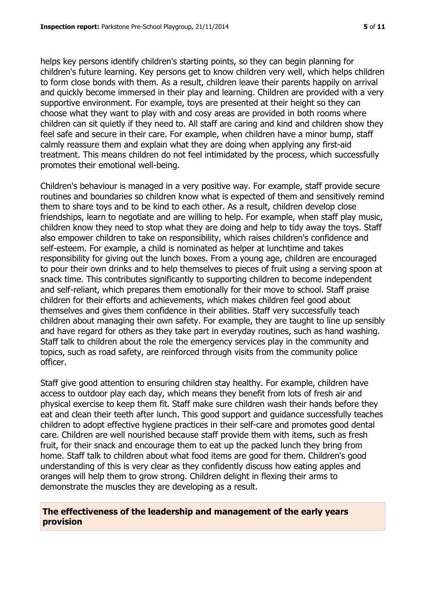helps key persons identify children's starting points, so they can begin planning for children's future learning. Key persons get to know children very well, which helps children to form close bonds with them. As a result, children leave their parents happily on arrival and quickly become immersed in their play and learning. Children are provided with a very supportive environment. For example, toys are presented at their height so they can choose what they want to play with and cosy areas are provided in both rooms where children can sit quietly if they need to. All staff are caring and kind and children show they feel safe and secure in their care. For example, when children have a minor bump, staff calmly reassure them and explain what they are doing when applying any first-aid treatment. This means children do not feel intimidated by the process, which successfully promotes their emotional well-being.

Children's behaviour is managed in a very positive way. For example, staff provide secure routines and boundaries so children know what is expected of them and sensitively remind them to share toys and to be kind to each other. As a result, children develop close friendships, learn to negotiate and are willing to help. For example, when staff play music, children know they need to stop what they are doing and help to tidy away the toys. Staff also empower children to take on responsibility, which raises children's confidence and self-esteem. For example, a child is nominated as helper at lunchtime and takes responsibility for giving out the lunch boxes. From a young age, children are encouraged to pour their own drinks and to help themselves to pieces of fruit using a serving spoon at snack time. This contributes significantly to supporting children to become independent and self-reliant, which prepares them emotionally for their move to school. Staff praise children for their efforts and achievements, which makes children feel good about themselves and gives them confidence in their abilities. Staff very successfully teach children about managing their own safety. For example, they are taught to line up sensibly and have regard for others as they take part in everyday routines, such as hand washing. Staff talk to children about the role the emergency services play in the community and topics, such as road safety, are reinforced through visits from the community police officer.

Staff give good attention to ensuring children stay healthy. For example, children have access to outdoor play each day, which means they benefit from lots of fresh air and physical exercise to keep them fit. Staff make sure children wash their hands before they eat and clean their teeth after lunch. This good support and guidance successfully teaches children to adopt effective hygiene practices in their self-care and promotes good dental care. Children are well nourished because staff provide them with items, such as fresh fruit, for their snack and encourage them to eat up the packed lunch they bring from home. Staff talk to children about what food items are good for them. Children's good understanding of this is very clear as they confidently discuss how eating apples and oranges will help them to grow strong. Children delight in flexing their arms to demonstrate the muscles they are developing as a result.

#### **The effectiveness of the leadership and management of the early years provision**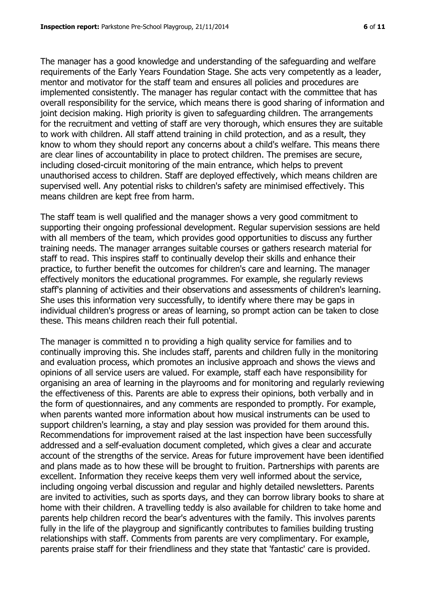The manager has a good knowledge and understanding of the safeguarding and welfare requirements of the Early Years Foundation Stage. She acts very competently as a leader, mentor and motivator for the staff team and ensures all policies and procedures are implemented consistently. The manager has regular contact with the committee that has overall responsibility for the service, which means there is good sharing of information and joint decision making. High priority is given to safeguarding children. The arrangements for the recruitment and vetting of staff are very thorough, which ensures they are suitable to work with children. All staff attend training in child protection, and as a result, they know to whom they should report any concerns about a child's welfare. This means there are clear lines of accountability in place to protect children. The premises are secure, including closed-circuit monitoring of the main entrance, which helps to prevent unauthorised access to children. Staff are deployed effectively, which means children are supervised well. Any potential risks to children's safety are minimised effectively. This means children are kept free from harm.

The staff team is well qualified and the manager shows a very good commitment to supporting their ongoing professional development. Regular supervision sessions are held with all members of the team, which provides good opportunities to discuss any further training needs. The manager arranges suitable courses or gathers research material for staff to read. This inspires staff to continually develop their skills and enhance their practice, to further benefit the outcomes for children's care and learning. The manager effectively monitors the educational programmes. For example, she regularly reviews staff's planning of activities and their observations and assessments of children's learning. She uses this information very successfully, to identify where there may be gaps in individual children's progress or areas of learning, so prompt action can be taken to close these. This means children reach their full potential.

The manager is committed n to providing a high quality service for families and to continually improving this. She includes staff, parents and children fully in the monitoring and evaluation process, which promotes an inclusive approach and shows the views and opinions of all service users are valued. For example, staff each have responsibility for organising an area of learning in the playrooms and for monitoring and regularly reviewing the effectiveness of this. Parents are able to express their opinions, both verbally and in the form of questionnaires, and any comments are responded to promptly. For example, when parents wanted more information about how musical instruments can be used to support children's learning, a stay and play session was provided for them around this. Recommendations for improvement raised at the last inspection have been successfully addressed and a self-evaluation document completed, which gives a clear and accurate account of the strengths of the service. Areas for future improvement have been identified and plans made as to how these will be brought to fruition. Partnerships with parents are excellent. Information they receive keeps them very well informed about the service, including ongoing verbal discussion and regular and highly detailed newsletters. Parents are invited to activities, such as sports days, and they can borrow library books to share at home with their children. A travelling teddy is also available for children to take home and parents help children record the bear's adventures with the family. This involves parents fully in the life of the playgroup and significantly contributes to families building trusting relationships with staff. Comments from parents are very complimentary. For example, parents praise staff for their friendliness and they state that 'fantastic' care is provided.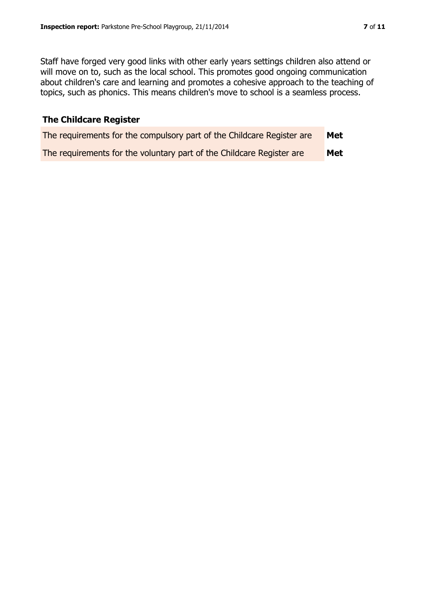Staff have forged very good links with other early years settings children also attend or will move on to, such as the local school. This promotes good ongoing communication about children's care and learning and promotes a cohesive approach to the teaching of topics, such as phonics. This means children's move to school is a seamless process.

# **The Childcare Register**

| The requirements for the compulsory part of the Childcare Register are | <b>Met</b> |
|------------------------------------------------------------------------|------------|
| The requirements for the voluntary part of the Childcare Register are  | Met        |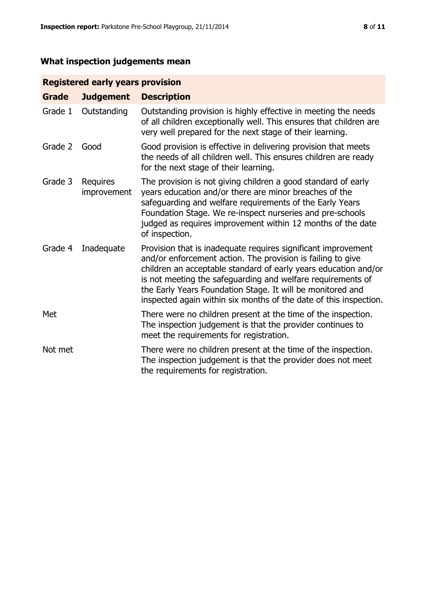# **What inspection judgements mean**

# **Registered early years provision**

| <b>Grade</b> | <b>Judgement</b>        | <b>Description</b>                                                                                                                                                                                                                                                                                                                                                                                |
|--------------|-------------------------|---------------------------------------------------------------------------------------------------------------------------------------------------------------------------------------------------------------------------------------------------------------------------------------------------------------------------------------------------------------------------------------------------|
| Grade 1      | Outstanding             | Outstanding provision is highly effective in meeting the needs<br>of all children exceptionally well. This ensures that children are<br>very well prepared for the next stage of their learning.                                                                                                                                                                                                  |
| Grade 2      | Good                    | Good provision is effective in delivering provision that meets<br>the needs of all children well. This ensures children are ready<br>for the next stage of their learning.                                                                                                                                                                                                                        |
| Grade 3      | Requires<br>improvement | The provision is not giving children a good standard of early<br>years education and/or there are minor breaches of the<br>safeguarding and welfare requirements of the Early Years<br>Foundation Stage. We re-inspect nurseries and pre-schools<br>judged as requires improvement within 12 months of the date<br>of inspection.                                                                 |
| Grade 4      | Inadequate              | Provision that is inadequate requires significant improvement<br>and/or enforcement action. The provision is failing to give<br>children an acceptable standard of early years education and/or<br>is not meeting the safeguarding and welfare requirements of<br>the Early Years Foundation Stage. It will be monitored and<br>inspected again within six months of the date of this inspection. |
| Met          |                         | There were no children present at the time of the inspection.<br>The inspection judgement is that the provider continues to<br>meet the requirements for registration.                                                                                                                                                                                                                            |
| Not met      |                         | There were no children present at the time of the inspection.<br>The inspection judgement is that the provider does not meet<br>the requirements for registration.                                                                                                                                                                                                                                |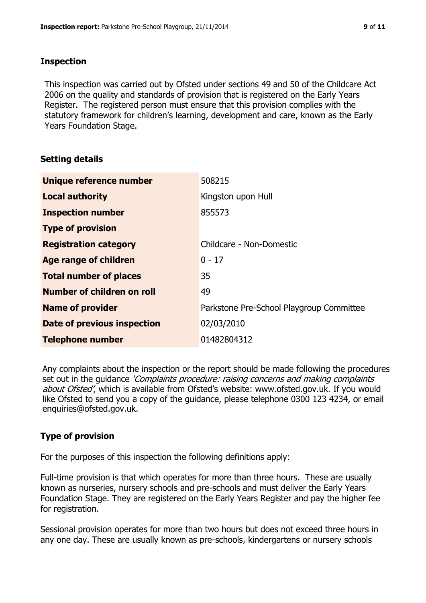### **Inspection**

This inspection was carried out by Ofsted under sections 49 and 50 of the Childcare Act 2006 on the quality and standards of provision that is registered on the Early Years Register. The registered person must ensure that this provision complies with the statutory framework for children's learning, development and care, known as the Early Years Foundation Stage.

# **Setting details**

| Unique reference number            | 508215                                   |
|------------------------------------|------------------------------------------|
| <b>Local authority</b>             | Kingston upon Hull                       |
| <b>Inspection number</b>           | 855573                                   |
| <b>Type of provision</b>           |                                          |
| <b>Registration category</b>       | Childcare - Non-Domestic                 |
| Age range of children              | $0 - 17$                                 |
| <b>Total number of places</b>      | 35                                       |
| Number of children on roll         | 49                                       |
| <b>Name of provider</b>            | Parkstone Pre-School Playgroup Committee |
| <b>Date of previous inspection</b> | 02/03/2010                               |
| <b>Telephone number</b>            | 01482804312                              |

Any complaints about the inspection or the report should be made following the procedures set out in the guidance *'Complaints procedure: raising concerns and making complaints* about Ofsted', which is available from Ofsted's website: www.ofsted.gov.uk. If you would like Ofsted to send you a copy of the guidance, please telephone 0300 123 4234, or email enquiries@ofsted.gov.uk.

# **Type of provision**

For the purposes of this inspection the following definitions apply:

Full-time provision is that which operates for more than three hours. These are usually known as nurseries, nursery schools and pre-schools and must deliver the Early Years Foundation Stage. They are registered on the Early Years Register and pay the higher fee for registration.

Sessional provision operates for more than two hours but does not exceed three hours in any one day. These are usually known as pre-schools, kindergartens or nursery schools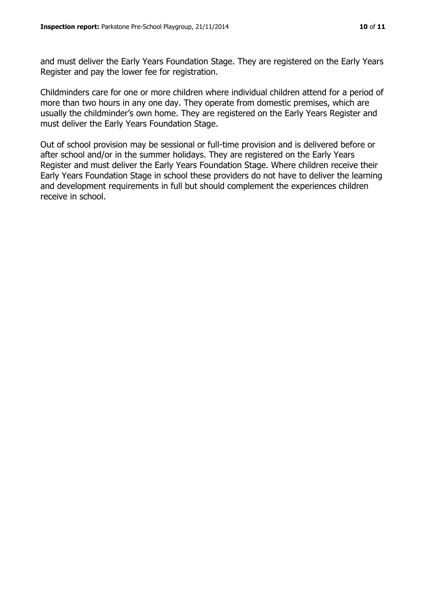and must deliver the Early Years Foundation Stage. They are registered on the Early Years Register and pay the lower fee for registration.

Childminders care for one or more children where individual children attend for a period of more than two hours in any one day. They operate from domestic premises, which are usually the childminder's own home. They are registered on the Early Years Register and must deliver the Early Years Foundation Stage.

Out of school provision may be sessional or full-time provision and is delivered before or after school and/or in the summer holidays. They are registered on the Early Years Register and must deliver the Early Years Foundation Stage. Where children receive their Early Years Foundation Stage in school these providers do not have to deliver the learning and development requirements in full but should complement the experiences children receive in school.